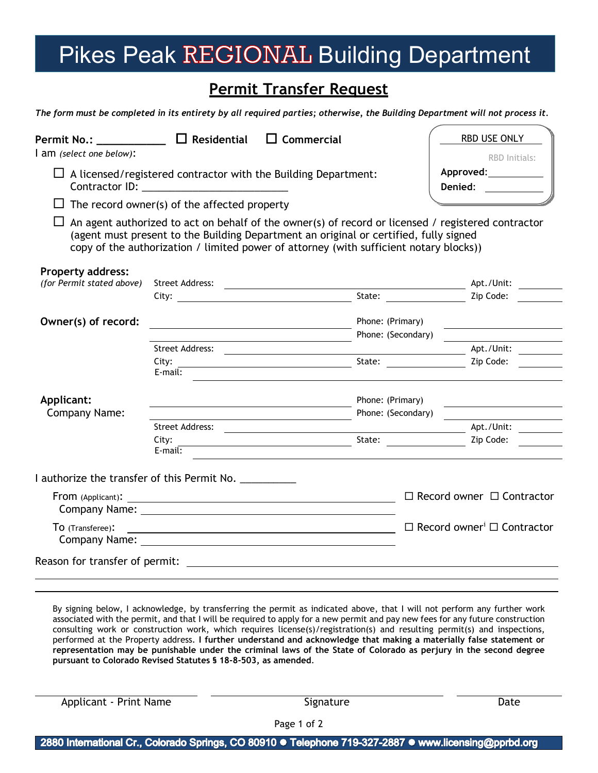## Pikes Peak REGIONAL Building Department

## **Permit Transfer Request**

*The form must be completed in its entirety by all required parties; otherwise, the Building Department will not process it.*

| Permit No.: $\Box$ Residential<br>am (select one below):              |                                              | $\Box$ Commercial                                                                                                                                                                                                                                                                     |                    | RBD USE ONLY<br>RBD Initials:                      |
|-----------------------------------------------------------------------|----------------------------------------------|---------------------------------------------------------------------------------------------------------------------------------------------------------------------------------------------------------------------------------------------------------------------------------------|--------------------|----------------------------------------------------|
| $\Box$ A licensed/registered contractor with the Building Department: |                                              |                                                                                                                                                                                                                                                                                       |                    | Denied:                                            |
|                                                                       | The record owner(s) of the affected property |                                                                                                                                                                                                                                                                                       |                    |                                                    |
|                                                                       |                                              | An agent authorized to act on behalf of the owner(s) of record or licensed / registered contractor<br>(agent must present to the Building Department an original or certified, fully signed<br>copy of the authorization / limited power of attorney (with sufficient notary blocks)) |                    |                                                    |
| <b>Property address:</b><br>(for Permit stated above)                 |                                              |                                                                                                                                                                                                                                                                                       |                    |                                                    |
|                                                                       | Street Address:                              | <u> 1989 - Johann Barn, mars ann an t-Amhair an t-Amhair an t-Amhair an t-Amhair an t-Amhair an t-Amhair an t-Amh</u>                                                                                                                                                                 |                    | Apt./Unit:<br>Zip Code:                            |
| Owner(s) of record:                                                   |                                              |                                                                                                                                                                                                                                                                                       | Phone: (Primary)   |                                                    |
|                                                                       |                                              |                                                                                                                                                                                                                                                                                       | Phone: (Secondary) |                                                    |
|                                                                       | Street Address:                              |                                                                                                                                                                                                                                                                                       |                    | Apt./Unit:                                         |
|                                                                       | City:<br>$E$ -mail:                          |                                                                                                                                                                                                                                                                                       |                    | State: <u>Cambridge Zip Code:</u>                  |
| Applicant:                                                            |                                              |                                                                                                                                                                                                                                                                                       | Phone: (Primary)   |                                                    |
| Company Name:                                                         |                                              | Phone: (Secondary)                                                                                                                                                                                                                                                                    |                    |                                                    |
|                                                                       | Street Address:                              |                                                                                                                                                                                                                                                                                       |                    | Apt./Unit:                                         |
|                                                                       | City:<br>$E$ -mail:                          |                                                                                                                                                                                                                                                                                       |                    | State: Zip Code:                                   |
| I authorize the transfer of this Permit No.                           |                                              |                                                                                                                                                                                                                                                                                       |                    |                                                    |
|                                                                       |                                              |                                                                                                                                                                                                                                                                                       |                    | $\Box$ Record owner $\Box$ Contractor              |
| TO (Transferee):                                                      |                                              | <u> 1980 - Johann Barn, fransk politik fotograf (d. 1980)</u>                                                                                                                                                                                                                         |                    | $\Box$ Record owner <sup>i</sup> $\Box$ Contractor |
|                                                                       |                                              |                                                                                                                                                                                                                                                                                       |                    |                                                    |

By signing below, I acknowledge, by transferring the permit as indicated above, that I will not perform any further work associated with the permit, and that I will be required to apply for a new permit and pay new fees for any future construction consulting work or construction work, which requires license(s)/registration(s) and resulting permit(s) and inspections, performed at the Property address. **I further understand and acknowledge that making a materially false statement or representation may be punishable under the criminal laws of the State of Colorado as perjury in the second degree pursuant to Colorado Revised Statutes § 18-8-503, as amended**.

Applicant - Print Name and Signature Signature Date of the Date of Date of the Date of the Date of the Date of Date of the Date of the Date of the Date of the Date of the Date of the Date of the Date of the Date of the Dat

Page 1 of 2